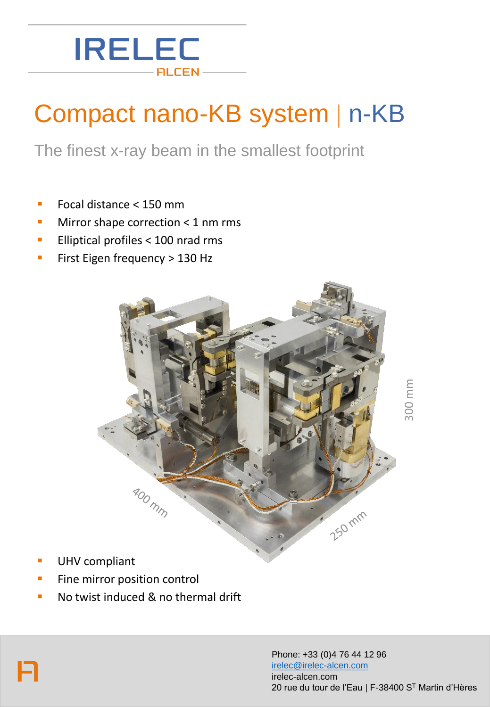### **IRELEC**  $-$  FILCEN  $\cdot$

# Compact nano-KB system | n-KB

The finest x-ray beam in the smallest footprint

- Focal distance < 150 mm
- Mirror shape correction  $<$  1 nm rms
- Elliptical profiles < 100 nrad rms
- First Eigen frequency > 130 Hz



300 mm

- **UHV** compliant
- Fine mirror position control
- No twist induced & no thermal drift